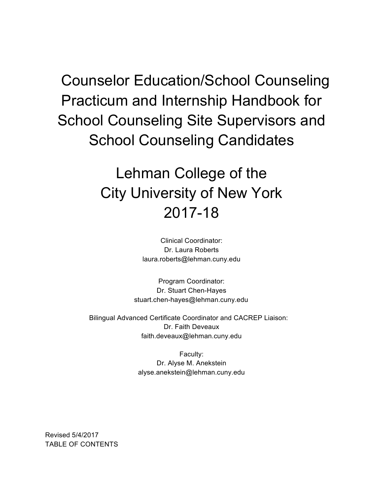Counselor Education/School Counseling Practicum and Internship Handbook for School Counseling Site Supervisors and School Counseling Candidates

# Lehman College of the City University of New York 2017-18

Clinical Coordinator: Dr. Laura Roberts laura.roberts@lehman.cuny.edu

Program Coordinator: Dr. Stuart Chen-Hayes stuart.chen-hayes@lehman.cuny.edu

 Bilingual Advanced Certificate Coordinator and CACREP Liaison: Dr. Faith Deveaux faith.deveaux@lehman.cuny.edu

> Faculty: Dr. Alyse M. Anekstein alyse.anekstein@lehman.cuny.edu

Revised 5/4/2017 TABLE OF CONTENTS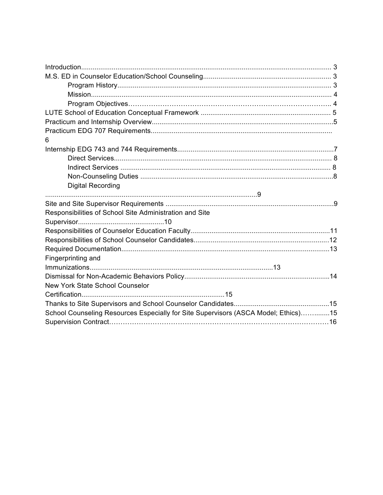| 6                                                                                  |  |
|------------------------------------------------------------------------------------|--|
|                                                                                    |  |
|                                                                                    |  |
|                                                                                    |  |
|                                                                                    |  |
| <b>Digital Recording</b>                                                           |  |
|                                                                                    |  |
|                                                                                    |  |
| Responsibilities of School Site Administration and Site                            |  |
|                                                                                    |  |
|                                                                                    |  |
|                                                                                    |  |
|                                                                                    |  |
| Fingerprinting and                                                                 |  |
|                                                                                    |  |
|                                                                                    |  |
| <b>New York State School Counselor</b>                                             |  |
|                                                                                    |  |
|                                                                                    |  |
| School Counseling Resources Especially for Site Supervisors (ASCA Model; Ethics)15 |  |
|                                                                                    |  |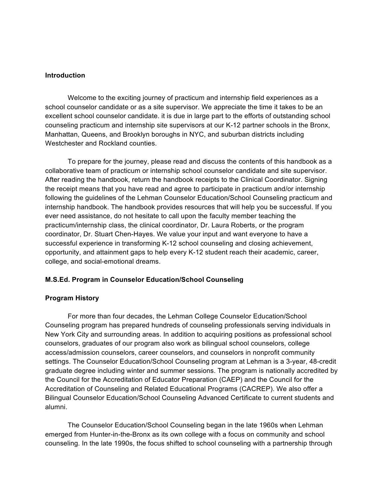#### **Introduction**

 Welcome to the exciting journey of practicum and internship field experiences as a school counselor candidate or as a site supervisor. We appreciate the time it takes to be an excellent school counselor candidate. it is due in large part to the efforts of outstanding school counseling practicum and internship site supervisors at our K-12 partner schools in the Bronx, Manhattan, Queens, and Brooklyn boroughs in NYC, and suburban districts including Westchester and Rockland counties.

 To prepare for the journey, please read and discuss the contents of this handbook as a collaborative team of practicum or internship school counselor candidate and site supervisor. After reading the handbook, return the handbook receipts to the Clinical Coordinator. Signing the receipt means that you have read and agree to participate in practicum and/or internship following the guidelines of the Lehman Counselor Education/School Counseling practicum and internship handbook. The handbook provides resources that will help you be successful. If you ever need assistance, do not hesitate to call upon the faculty member teaching the practicum/internship class, the clinical coordinator, Dr. Laura Roberts, or the program coordinator, Dr. Stuart Chen-Hayes. We value your input and want everyone to have a successful experience in transforming K-12 school counseling and closing achievement, opportunity, and attainment gaps to help every K-12 student reach their academic, career, college, and social-emotional dreams.

#### **M.S.Ed. Program in Counselor Education/School Counseling**

#### **Program History**

 For more than four decades, the Lehman College Counselor Education/School Counseling program has prepared hundreds of counseling professionals serving individuals in New York City and surrounding areas. In addition to acquiring positions as professional school counselors, graduates of our program also work as bilingual school counselors, college access/admission counselors, career counselors, and counselors in nonprofit community settings. The Counselor Education/School Counseling program at Lehman is a 3-year, 48-credit graduate degree including winter and summer sessions. The program is nationally accredited by the Council for the Accreditation of Educator Preparation (CAEP) and the Council for the Accreditation of Counseling and Related Educational Programs (CACREP). We also offer a Bilingual Counselor Education/School Counseling Advanced Certificate to current students and alumni.

The Counselor Education/School Counseling began in the late 1960s when Lehman emerged from Hunter-in-the-Bronx as its own college with a focus on community and school counseling. In the late 1990s, the focus shifted to school counseling with a partnership through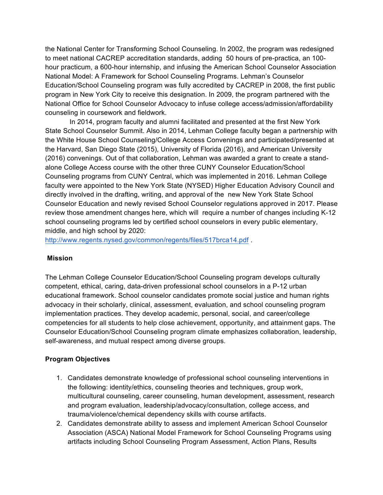the National Center for Transforming School Counseling. In 2002, the program was redesigned to meet national CACREP accreditation standards, adding 50 hours of pre-practica, an 100 hour practicum, a 600-hour internship, and infusing the American School Counselor Association National Model: A Framework for School Counseling Programs. Lehman's Counselor Education/School Counseling program was fully accredited by CACREP in 2008, the first public program in New York City to receive this designation. In 2009, the program partnered with the National Office for School Counselor Advocacy to infuse college access/admission/affordability counseling in coursework and fieldwork.

In 2014, program faculty and alumni facilitated and presented at the first New York State School Counselor Summit. Also in 2014, Lehman College faculty began a partnership with the White House School Counseling/College Access Convenings and participated/presented at the Harvard, San Diego State (2015), University of Florida (2016), and American University (2016) convenings. Out of that collaboration, Lehman was awarded a grant to create a standalone College Access course with the other three CUNY Counselor Education/School Counseling programs from CUNY Central, which was implemented in 2016. Lehman College faculty were appointed to the New York State (NYSED) Higher Education Advisory Council and directly involved in the drafting, writing, and approval of the new New York State School Counselor Education and newly revised School Counselor regulations approved in 2017. Please review those amendment changes here, which will require a number of changes including K-12 school counseling programs led by certified school counselors in every public elementary, middle, and high school by 2020:

http://www.regents.nysed.gov/common/regents/files/517brca14.pdf .

#### **Mission**

The Lehman College Counselor Education/School Counseling program develops culturally competent, ethical, caring, data-driven professional school counselors in a P-12 urban educational framework. School counselor candidates promote social justice and human rights advocacy in their scholarly, clinical, assessment, evaluation, and school counseling program implementation practices. They develop academic, personal, social, and career/college competencies for all students to help close achievement, opportunity, and attainment gaps. The Counselor Education/School Counseling program climate emphasizes collaboration, leadership, self-awareness, and mutual respect among diverse groups.

#### **Program Objectives**

- 1. Candidates demonstrate knowledge of professional school counseling interventions in the following: identity/ethics, counseling theories and techniques, group work, multicultural counseling, career counseling, human development, assessment, research and program evaluation, leadership/advocacy/consultation, college access, and trauma/violence/chemical dependency skills with course artifacts.
- 2. Candidates demonstrate ability to assess and implement American School Counselor Association (ASCA) National Model Framework for School Counseling Programs using artifacts including School Counseling Program Assessment, Action Plans, Results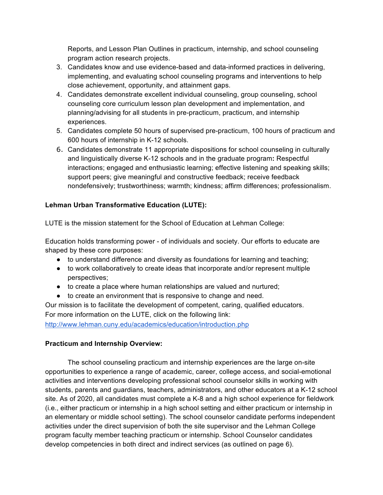Reports, and Lesson Plan Outlines in practicum, internship, and school counseling program action research projects.

- 3. Candidates know and use evidence-based and data-informed practices in delivering, implementing, and evaluating school counseling programs and interventions to help close achievement, opportunity, and attainment gaps.
- 4. Candidates demonstrate excellent individual counseling, group counseling, school counseling core curriculum lesson plan development and implementation, and planning/advising for all students in pre-practicum, practicum, and internship experiences.
- 5. Candidates complete 50 hours of supervised pre-practicum, 100 hours of practicum and 600 hours of internship in K-12 schools.
- 6. Candidates demonstrate 11 appropriate dispositions for school counseling in culturally and linguistically diverse K-12 schools and in the graduate program**:** Respectful interactions; engaged and enthusiastic learning; effective listening and speaking skills; support peers; give meaningful and constructive feedback; receive feedback nondefensively; trustworthiness; warmth; kindness; affirm differences; professionalism.

# **Lehman Urban Transformative Education (LUTE):**

LUTE is the mission statement for the School of Education at Lehman College:

Education holds transforming power - of individuals and society. Our efforts to educate are shaped by these core purposes:

- to understand difference and diversity as foundations for learning and teaching;
- to work collaboratively to create ideas that incorporate and/or represent multiple perspectives;
- to create a place where human relationships are valued and nurtured;
- to create an environment that is responsive to change and need.

Our mission is to facilitate the development of competent, caring, qualified educators. For more information on the LUTE, click on the following link:

http://www.lehman.cuny.edu/academics/education/introduction.php

# **Practicum and Internship Overview:**

 The school counseling practicum and internship experiences are the large on-site opportunities to experience a range of academic, career, college access, and social-emotional activities and interventions developing professional school counselor skills in working with students, parents and guardians, teachers, administrators, and other educators at a K-12 school site. As of 2020, all candidates must complete a K-8 and a high school experience for fieldwork (i.e., either practicum or internship in a high school setting and either practicum or internship in an elementary or middle school setting). The school counselor candidate performs independent activities under the direct supervision of both the site supervisor and the Lehman College program faculty member teaching practicum or internship. School Counselor candidates develop competencies in both direct and indirect services (as outlined on page 6).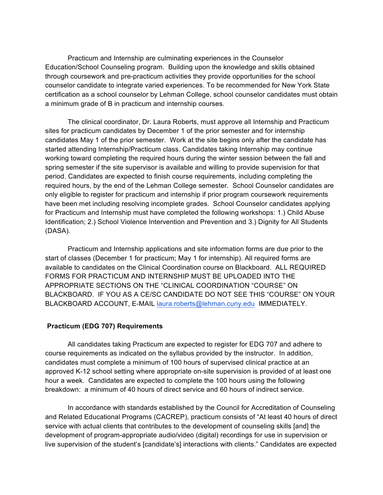Practicum and Internship are culminating experiences in the Counselor Education/School Counseling program. Building upon the knowledge and skills obtained through coursework and pre-practicum activities they provide opportunities for the school counselor candidate to integrate varied experiences. To be recommended for New York State certification as a school counselor by Lehman College, school counselor candidates must obtain a minimum grade of B in practicum and internship courses.

 The clinical coordinator, Dr. Laura Roberts, must approve all Internship and Practicum sites for practicum candidates by December 1 of the prior semester and for internship candidates May 1 of the prior semester. Work at the site begins only after the candidate has started attending Internship/Practicum class. Candidates taking Internship may continue working toward completing the required hours during the winter session between the fall and spring semester if the site supervisor is available and willing to provide supervision for that period. Candidates are expected to finish course requirements, including completing the required hours, by the end of the Lehman College semester. School Counselor candidates are only eligible to register for practicum and internship if prior program coursework requirements have been met including resolving incomplete grades. School Counselor candidates applying for Practicum and Internship must have completed the following workshops: 1.) Child Abuse Identification; 2.) School Violence Intervention and Prevention and 3.) Dignity for All Students (DASA).

 Practicum and Internship applications and site information forms are due prior to the start of classes (December 1 for practicum; May 1 for internship). All required forms are available to candidates on the Clinical Coordination course on Blackboard. ALL REQUIRED FORMS FOR PRACTICUM AND INTERNSHIP MUST BE UPLOADED INTO THE APPROPRIATE SECTIONS ON THE "CLINICAL COORDINATION "COURSE" ON BLACKBOARD. IF YOU AS A CE/SC CANDIDATE DO NOT SEE THIS "COURSE" ON YOUR BLACKBOARD ACCOUNT, E-MAIL laura.roberts@lehman.cuny.edu IMMEDIATELY.

#### **Practicum (EDG 707) Requirements**

 All candidates taking Practicum are expected to register for EDG 707 and adhere to course requirements as indicated on the syllabus provided by the instructor. In addition, candidates must complete a minimum of 100 hours of supervised clinical practice at an approved K-12 school setting where appropriate on-site supervision is provided of at least one hour a week. Candidates are expected to complete the 100 hours using the following breakdown: a minimum of 40 hours of direct service and 60 hours of indirect service.

 In accordance with standards established by the Council for Accreditation of Counseling and Related Educational Programs (CACREP), practicum consists of "At least 40 hours of direct service with actual clients that contributes to the development of counseling skills [and] the development of program-appropriate audio/video (digital) recordings for use in supervision or live supervision of the student's [candidate's] interactions with clients." Candidates are expected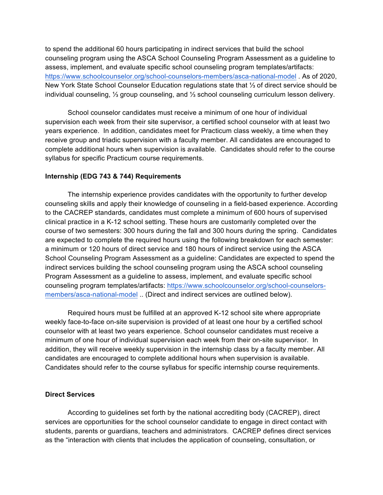to spend the additional 60 hours participating in indirect services that build the school counseling program using the ASCA School Counseling Program Assessment as a guideline to assess, implement, and evaluate specific school counseling program templates/artifacts: https://www.schoolcounselor.org/school-counselors-members/asca-national-model . As of 2020, New York State School Counselor Education regulations state that ⅓ of direct service should be individual counseling, ⅓ group counseling, and ⅓ school counseling curriculum lesson delivery.

 School counselor candidates must receive a minimum of one hour of individual supervision each week from their site supervisor, a certified school counselor with at least two years experience. In addition, candidates meet for Practicum class weekly, a time when they receive group and triadic supervision with a faculty member. All candidates are encouraged to complete additional hours when supervision is available. Candidates should refer to the course syllabus for specific Practicum course requirements.

#### **Internship (EDG 743 & 744) Requirements**

 The internship experience provides candidates with the opportunity to further develop counseling skills and apply their knowledge of counseling in a field-based experience. According to the CACREP standards, candidates must complete a minimum of 600 hours of supervised clinical practice in a K-12 school setting. These hours are customarily completed over the course of two semesters: 300 hours during the fall and 300 hours during the spring. Candidates are expected to complete the required hours using the following breakdown for each semester: a minimum or 120 hours of direct service and 180 hours of indirect service using the ASCA School Counseling Program Assessment as a guideline: Candidates are expected to spend the indirect services building the school counseling program using the ASCA school counseling Program Assessment as a guideline to assess, implement, and evaluate specific school counseling program templates/artifacts: https://www.schoolcounselor.org/school-counselorsmembers/asca-national-model .. (Direct and indirect services are outlined below).

 Required hours must be fulfilled at an approved K-12 school site where appropriate weekly face-to-face on-site supervision is provided of at least one hour by a certified school counselor with at least two years experience. School counselor candidates must receive a minimum of one hour of individual supervision each week from their on-site supervisor. In addition, they will receive weekly supervision in the internship class by a faculty member. All candidates are encouraged to complete additional hours when supervision is available. Candidates should refer to the course syllabus for specific internship course requirements.

#### **Direct Services**

 According to guidelines set forth by the national accrediting body (CACREP), direct services are opportunities for the school counselor candidate to engage in direct contact with students, parents or guardians, teachers and administrators. CACREP defines direct services as the "interaction with clients that includes the application of counseling, consultation, or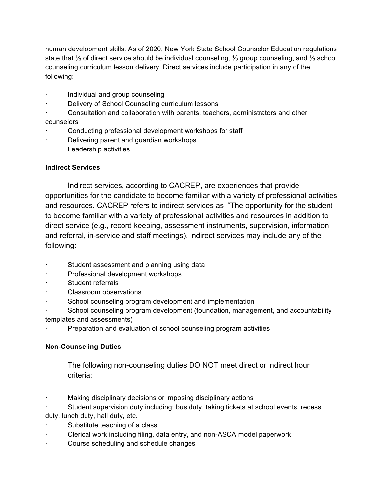human development skills. As of 2020, New York State School Counselor Education regulations state that ⅓ of direct service should be individual counseling, ⅓ group counseling, and ⅓ school counseling curriculum lesson delivery. Direct services include participation in any of the following:

- · Individual and group counseling
- · Delivery of School Counseling curriculum lessons
- Consultation and collaboration with parents, teachers, administrators and other

# counselors

- Conducting professional development workshops for staff
- Delivering parent and guardian workshops
- Leadership activities

# **Indirect Services**

 Indirect services, according to CACREP, are experiences that provide opportunities for the candidate to become familiar with a variety of professional activities and resources. CACREP refers to indirect services as "The opportunity for the student to become familiar with a variety of professional activities and resources in addition to direct service (e.g., record keeping, assessment instruments, supervision, information and referral, in-service and staff meetings). Indirect services may include any of the following:

- Student assessment and planning using data
- · Professional development workshops
- Student referrals
- Classroom observations
- School counseling program development and implementation
- School counseling program development (foundation, management, and accountability templates and assessments)
- Preparation and evaluation of school counseling program activities

# **Non-Counseling Duties**

 The following non-counseling duties DO NOT meet direct or indirect hour criteria:

Making disciplinary decisions or imposing disciplinary actions

Student supervision duty including: bus duty, taking tickets at school events, recess duty, lunch duty, hall duty, etc.

- Substitute teaching of a class
- Clerical work including filing, data entry, and non-ASCA model paperwork
- Course scheduling and schedule changes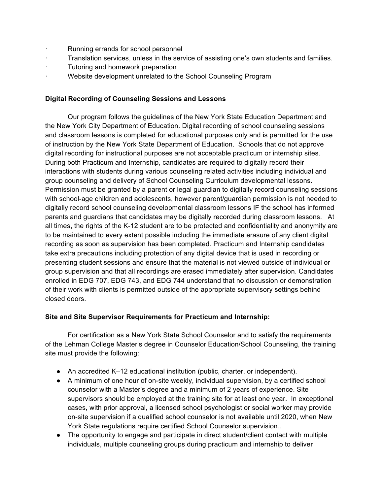- Running errands for school personnel
- · Translation services, unless in the service of assisting one's own students and families.
- · Tutoring and homework preparation
- Website development unrelated to the School Counseling Program

#### **Digital Recording of Counseling Sessions and Lessons**

 Our program follows the guidelines of the New York State Education Department and the New York City Department of Education. Digital recording of school counseling sessions and classroom lessons is completed for educational purposes only and is permitted for the use of instruction by the New York State Department of Education. Schools that do not approve digital recording for instructional purposes are not acceptable practicum or internship sites. During both Practicum and Internship, candidates are required to digitally record their interactions with students during various counseling related activities including individual and group counseling and delivery of School Counseling Curriculum developmental lessons. Permission must be granted by a parent or legal guardian to digitally record counseling sessions with school-age children and adolescents, however parent/guardian permission is not needed to digitally record school counseling developmental classroom lessons IF the school has informed parents and guardians that candidates may be digitally recorded during classroom lessons. At all times, the rights of the K-12 student are to be protected and confidentiality and anonymity are to be maintained to every extent possible including the immediate erasure of any client digital recording as soon as supervision has been completed. Practicum and Internship candidates take extra precautions including protection of any digital device that is used in recording or presenting student sessions and ensure that the material is not viewed outside of individual or group supervision and that all recordings are erased immediately after supervision. Candidates enrolled in EDG 707, EDG 743, and EDG 744 understand that no discussion or demonstration of their work with clients is permitted outside of the appropriate supervisory settings behind closed doors.

#### **Site and Site Supervisor Requirements for Practicum and Internship:**

 For certification as a New York State School Counselor and to satisfy the requirements of the Lehman College Master's degree in Counselor Education/School Counseling, the training site must provide the following:

- An accredited K–12 educational institution (public, charter, or independent).
- A minimum of one hour of on-site weekly, individual supervision, by a certified school counselor with a Master's degree and a minimum of 2 years of experience. Site supervisors should be employed at the training site for at least one year. In exceptional cases, with prior approval, a licensed school psychologist or social worker may provide on-site supervision if a qualified school counselor is not available until 2020, when New York State regulations require certified School Counselor supervision..
- The opportunity to engage and participate in direct student/client contact with multiple individuals, multiple counseling groups during practicum and internship to deliver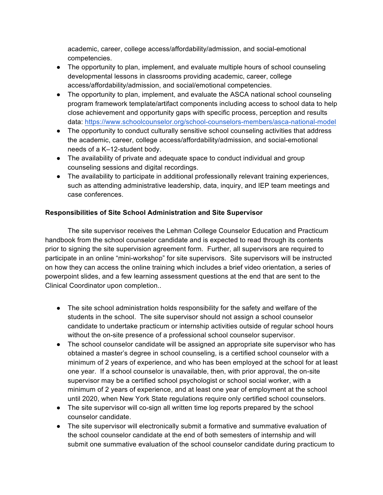academic, career, college access/affordability/admission, and social-emotional competencies.

- The opportunity to plan, implement, and evaluate multiple hours of school counseling developmental lessons in classrooms providing academic, career, college access/affordability/admission, and social/emotional competencies.
- The opportunity to plan, implement, and evaluate the ASCA national school counseling program framework template/artifact components including access to school data to help close achievement and opportunity gaps with specific process, perception and results data: https://www.schoolcounselor.org/school-counselors-members/asca-national-model
- The opportunity to conduct culturally sensitive school counseling activities that address the academic, career, college access/affordability/admission, and social-emotional needs of a K–12-student body.
- The availability of private and adequate space to conduct individual and group counseling sessions and digital recordings.
- The availability to participate in additional professionally relevant training experiences, such as attending administrative leadership, data, inquiry, and IEP team meetings and case conferences.

# **Responsibilities of Site School Administration and Site Supervisor**

 The site supervisor receives the Lehman College Counselor Education and Practicum handbook from the school counselor candidate and is expected to read through its contents prior to signing the site supervision agreement form. Further, all supervisors are required to participate in an online "mini-workshop" for site supervisors. Site supervisors will be instructed on how they can access the online training which includes a brief video orientation, a series of powerpoint slides, and a few learning assessment questions at the end that are sent to the Clinical Coordinator upon completion..

- The site school administration holds responsibility for the safety and welfare of the students in the school. The site supervisor should not assign a school counselor candidate to undertake practicum or internship activities outside of regular school hours without the on-site presence of a professional school counselor supervisor.
- The school counselor candidate will be assigned an appropriate site supervisor who has obtained a master's degree in school counseling, is a certified school counselor with a minimum of 2 years of experience, and who has been employed at the school for at least one year. If a school counselor is unavailable, then, with prior approval, the on-site supervisor may be a certified school psychologist or school social worker, with a minimum of 2 years of experience, and at least one year of employment at the school until 2020, when New York State regulations require only certified school counselors.
- The site supervisor will co-sign all written time log reports prepared by the school counselor candidate.
- The site supervisor will electronically submit a formative and summative evaluation of the school counselor candidate at the end of both semesters of internship and will submit one summative evaluation of the school counselor candidate during practicum to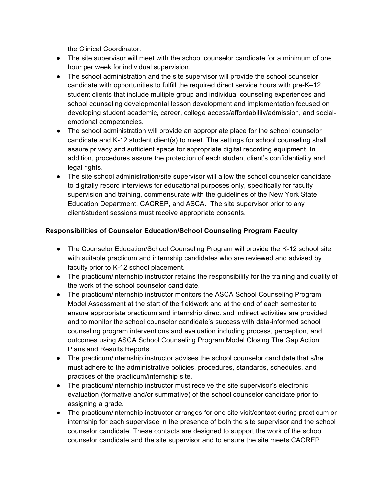the Clinical Coordinator.

- The site supervisor will meet with the school counselor candidate for a minimum of one hour per week for individual supervision.
- The school administration and the site supervisor will provide the school counselor candidate with opportunities to fulfill the required direct service hours with pre-K–12 student clients that include multiple group and individual counseling experiences and school counseling developmental lesson development and implementation focused on developing student academic, career, college access/affordability/admission, and socialemotional competencies.
- The school administration will provide an appropriate place for the school counselor candidate and K-12 student client(s) to meet. The settings for school counseling shall assure privacy and sufficient space for appropriate digital recording equipment. In addition, procedures assure the protection of each student client's confidentiality and legal rights.
- The site school administration/site supervisor will allow the school counselor candidate to digitally record interviews for educational purposes only, specifically for faculty supervision and training, commensurate with the guidelines of the New York State Education Department, CACREP, and ASCA. The site supervisor prior to any client/student sessions must receive appropriate consents.

# **Responsibilities of Counselor Education/School Counseling Program Faculty**

- The Counselor Education/School Counseling Program will provide the K-12 school site with suitable practicum and internship candidates who are reviewed and advised by faculty prior to K-12 school placement.
- The practicum/internship instructor retains the responsibility for the training and quality of the work of the school counselor candidate.
- The practicum/internship instructor monitors the ASCA School Counseling Program Model Assessment at the start of the fieldwork and at the end of each semester to ensure appropriate practicum and internship direct and indirect activities are provided and to monitor the school counselor candidate's success with data-informed school counseling program interventions and evaluation including process, perception, and outcomes using ASCA School Counseling Program Model Closing The Gap Action Plans and Results Reports.
- The practicum/internship instructor advises the school counselor candidate that s/he must adhere to the administrative policies, procedures, standards, schedules, and practices of the practicum/internship site.
- The practicum/internship instructor must receive the site supervisor's electronic evaluation (formative and/or summative) of the school counselor candidate prior to assigning a grade.
- The practicum/internship instructor arranges for one site visit/contact during practicum or internship for each supervisee in the presence of both the site supervisor and the school counselor candidate. These contacts are designed to support the work of the school counselor candidate and the site supervisor and to ensure the site meets CACREP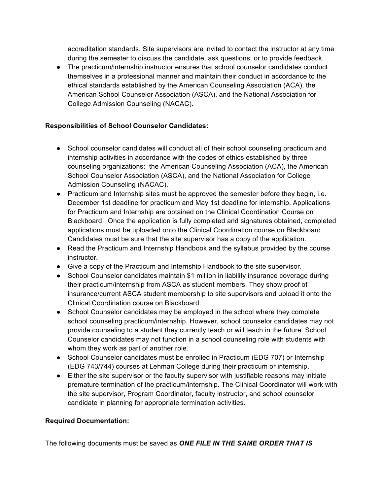accreditation standards. Site supervisors are invited to contact the instructor at any time during the semester to discuss the candidate, ask questions, or to provide feedback.

● The practicum/internship instructor ensures that school counselor candidates conduct themselves in a professional manner and maintain their conduct in accordance to the ethical standards established by the American Counseling Association (ACA), the American School Counselor Association (ASCA), and the National Association for College Admission Counseling (NACAC).

# **Responsibilities of School Counselor Candidates:**

- School counselor candidates will conduct all of their school counseling practicum and internship activities in accordance with the codes of ethics established by three counseling organizations: the American Counseling Association (ACA), the American School Counselor Association (ASCA), and the National Association for College Admission Counseling (NACAC).
- Practicum and Internship sites must be approved the semester before they begin, i.e. December 1st deadline for practicum and May 1st deadline for internship. Applications for Practicum and Internship are obtained on the Clinical Coordination Course on Blackboard. Once the application is fully completed and signatures obtained, completed applications must be uploaded onto the Clinical Coordination course on Blackboard. Candidates must be sure that the site supervisor has a copy of the application.
- Read the Practicum and Internship Handbook and the syllabus provided by the course instructor.
- Give a copy of the Practicum and Internship Handbook to the site supervisor.
- School Counselor candidates maintain \$1 million in liability insurance coverage during their practicum/internship from ASCA as student members. They show proof of insurance/current ASCA student membership to site supervisors and upload it onto the Clinical Coordination course on Blackboard.
- School Counselor candidates may be employed in the school where they complete school counseling practicum/internship. However, school counselor candidates may not provide counseling to a student they currently teach or will teach in the future. School Counselor candidates may not function in a school counseling role with students with whom they work as part of another role.
- School Counselor candidates must be enrolled in Practicum (EDG 707) or Internship (EDG 743/744) courses at Lehman College during their practicum or internship.
- Either the site supervisor or the faculty supervisor with justifiable reasons may initiate premature termination of the practicum/internship. The Clinical Coordinator will work with the site supervisor, Program Coordinator, faculty instructor, and school counselor candidate in planning for appropriate termination activities.

# **Required Documentation:**

The following documents must be saved as *ONE FILE IN THE SAME ORDER THAT IS*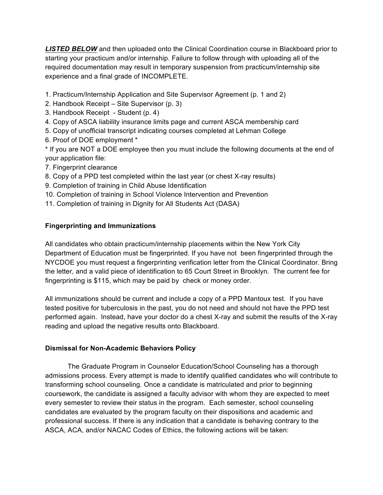*LISTED BELOW* and then uploaded onto the Clinical Coordination course in Blackboard prior to starting your practicum and/or internship. Failure to follow through with uploading all of the required documentation may result in temporary suspension from practicum/internship site experience and a final grade of INCOMPLETE.

1. Practicum/Internship Application and Site Supervisor Agreement (p. 1 and 2)

- 2. Handbook Receipt Site Supervisor (p. 3)
- 3. Handbook Receipt Student (p. 4)
- 4. Copy of ASCA liability insurance limits page and current ASCA membership card
- 5. Copy of unofficial transcript indicating courses completed at Lehman College
- 6. Proof of DOE employment \*

\* If you are NOT a DOE employee then you must include the following documents at the end of your application file:

- 7. Fingerprint clearance
- 8. Copy of a PPD test completed within the last year (or chest X-ray results)
- 9. Completion of training in Child Abuse Identification
- 10. Completion of training in School Violence Intervention and Prevention
- 11. Completion of training in Dignity for All Students Act (DASA)

# **Fingerprinting and Immunizations**

All candidates who obtain practicum/internship placements within the New York City Department of Education must be fingerprinted. If you have not been fingerprinted through the NYCDOE you must request a fingerprinting verification letter from the Clinical Coordinator. Bring the letter, and a valid piece of identification to 65 Court Street in Brooklyn. The current fee for fingerprinting is \$115, which may be paid by check or money order.

All immunizations should be current and include a copy of a PPD Mantoux test. If you have tested positive for tuberculosis in the past, you do not need and should not have the PPD test performed again. Instead, have your doctor do a chest X-ray and submit the results of the X-ray reading and upload the negative results onto Blackboard.

#### **Dismissal for Non-Academic Behaviors Policy**

 The Graduate Program in Counselor Education/School Counseling has a thorough admissions process. Every attempt is made to identify qualified candidates who will contribute to transforming school counseling. Once a candidate is matriculated and prior to beginning coursework, the candidate is assigned a faculty advisor with whom they are expected to meet every semester to review their status in the program. Each semester, school counseling candidates are evaluated by the program faculty on their dispositions and academic and professional success. If there is any indication that a candidate is behaving contrary to the ASCA, ACA, and/or NACAC Codes of Ethics, the following actions will be taken: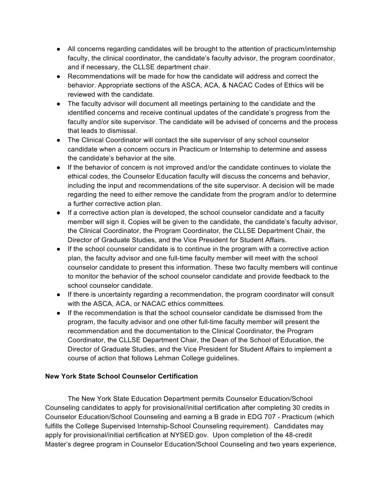- All concerns regarding candidates will be brought to the attention of practicum/internship faculty, the clinical coordinator, the candidate's faculty advisor, the program coordinator, and if necessary, the CLLSE department chair.
- Recommendations will be made for how the candidate will address and correct the behavior. Appropriate sections of the ASCA, ACA, & NACAC Codes of Ethics will be reviewed with the candidate.
- The faculty advisor will document all meetings pertaining to the candidate and the identified concerns and receive continual updates of the candidate's progress from the faculty and/or site supervisor. The candidate will be advised of concerns and the process that leads to dismissal.
- The Clinical Coordinator will contact the site supervisor of any school counselor candidate when a concern occurs in Practicum or Internship to determine and assess the candidate's behavior at the site.
- If the behavior of concern is not improved and/or the candidate continues to violate the ethical codes, the Counselor Education faculty will discuss the concerns and behavior, including the input and recommendations of the site supervisor. A decision will be made regarding the need to either remove the candidate from the program and/or to determine a further corrective action plan.
- If a corrective action plan is developed, the school counselor candidate and a faculty member will sign it. Copies will be given to the candidate, the candidate's faculty advisor, the Clinical Coordinator, the Program Coordinator, the CLLSE Department Chair, the Director of Graduate Studies, and the Vice President for Student Affairs.
- If the school counselor candidate is to continue in the program with a corrective action plan, the faculty advisor and one full-time faculty member will meet with the school counselor candidate to present this information. These two faculty members will continue to monitor the behavior of the school counselor candidate and provide feedback to the school counselor candidate.
- If there is uncertainty regarding a recommendation, the program coordinator will consult with the ASCA, ACA, or NACAC ethics committees.
- If the recommendation is that the school counselor candidate be dismissed from the program, the faculty advisor and one other full-time faculty member will present the recommendation and the documentation to the Clinical Coordinator, the Program Coordinator, the CLLSE Department Chair, the Dean of the School of Education, the Director of Graduate Studies, and the Vice President for Student Affairs to implement a course of action that follows Lehman College guidelines.

# **New York State School Counselor Certification**

 The New York State Education Department permits Counselor Education/School Counseling candidates to apply for provisional/initial certification after completing 30 credits in Counselor Education/School Counseling and earning a B grade in EDG 707 - Practicum (which fulfills the College Supervised Internship-School Counseling requirement). Candidates may apply for provisional/initial certification at NYSED.gov. Upon completion of the 48-credit Master's degree program in Counselor Education/School Counseling and two years experience,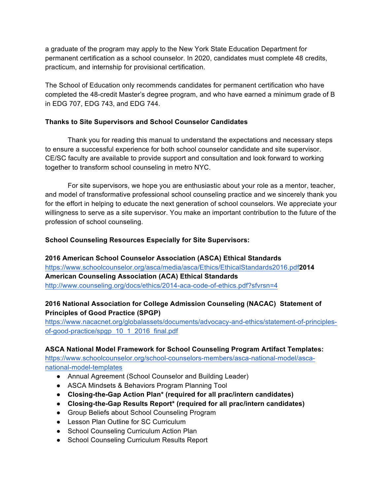a graduate of the program may apply to the New York State Education Department for permanent certification as a school counselor. In 2020, candidates must complete 48 credits, practicum, and internship for provisional certification.

The School of Education only recommends candidates for permanent certification who have completed the 48-credit Master's degree program, and who have earned a minimum grade of B in EDG 707, EDG 743, and EDG 744.

# **Thanks to Site Supervisors and School Counselor Candidates**

 Thank you for reading this manual to understand the expectations and necessary steps to ensure a successful experience for both school counselor candidate and site supervisor. CE/SC faculty are available to provide support and consultation and look forward to working together to transform school counseling in metro NYC.

 For site supervisors, we hope you are enthusiastic about your role as a mentor, teacher, and model of transformative professional school counseling practice and we sincerely thank you for the effort in helping to educate the next generation of school counselors. We appreciate your willingness to serve as a site supervisor. You make an important contribution to the future of the profession of school counseling.

# **School Counseling Resources Especially for Site Supervisors:**

**2016 American School Counselor Association (ASCA) Ethical Standards** https://www.schoolcounselor.org/asca/media/asca/Ethics/EthicalStandards2016.pdf**2014 American Counseling Association (ACA) Ethical Standards** http://www.counseling.org/docs/ethics/2014-aca-code-of-ethics.pdf?sfvrsn=4

# **2016 National Association for College Admission Counseling (NACAC) Statement of Principles of Good Practice (SPGP)**

https://www.nacacnet.org/globalassets/documents/advocacy-and-ethics/statement-of-principlesof-good-practice/spgp\_10\_1\_2016\_final.pdf

# **ASCA National Model Framework for School Counseling Program Artifact Templates:**

https://www.schoolcounselor.org/school-counselors-members/asca-national-model/ascanational-model-templates

- Annual Agreement (School Counselor and Building Leader)
- ASCA Mindsets & Behaviors Program Planning Tool
- **Closing-the-Gap Action Plan\* (required for all prac/intern candidates)**
- **Closing-the-Gap Results Report\* (required for all prac/intern candidates)**
- Group Beliefs about School Counseling Program
- Lesson Plan Outline for SC Curriculum
- School Counseling Curriculum Action Plan
- School Counseling Curriculum Results Report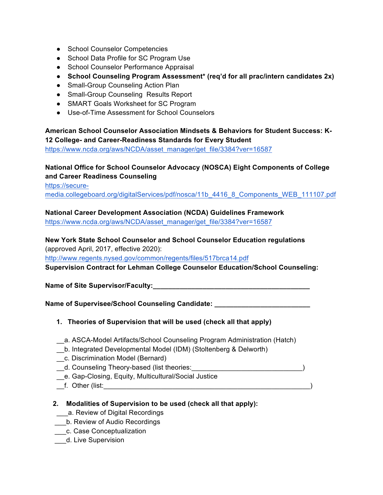- School Counselor Competencies
- School Data Profile for SC Program Use
- School Counselor Performance Appraisal
- **School Counseling Program Assessment\* (req'd for all prac/intern candidates 2x)**
- Small-Group Counseling Action Plan
- Small-Group Counseling Results Report
- SMART Goals Worksheet for SC Program
- Use-of-Time Assessment for School Counselors

**American School Counselor Association Mindsets & Behaviors for Student Success: K-12 College- and Career-Readiness Standards for Every Student**

https://www.ncda.org/aws/NCDA/asset\_manager/get\_file/3384?ver=16587

# **National Office for School Counselor Advocacy (NOSCA) Eight Components of College and Career Readiness Counseling**

https://secure-

media.collegeboard.org/digitalServices/pdf/nosca/11b\_4416\_8\_Components\_WEB\_111107.pdf

**National Career Development Association (NCDA) Guidelines Framework**

https://www.ncda.org/aws/NCDA/asset\_manager/get\_file/3384?ver=16587

# **New York State School Counselor and School Counselor Education regulations**

(approved April, 2017, effective 2020):

http://www.regents.nysed.gov/common/regents/files/517brca14.pdf

**Supervision Contract for Lehman College Counselor Education/School Counseling:**

**Name of Site Supervisor/Faculty:\_\_\_\_\_\_\_\_\_\_\_\_\_\_\_\_\_\_\_\_\_\_\_\_\_\_\_\_\_\_\_\_\_\_\_\_\_\_\_\_\_**

**Name of Supervisee/School Counseling Candidate:** 

- **1. Theories of Supervision that will be used (check all that apply)**
- \_\_a. ASCA-Model Artifacts/School Counseling Program Administration (Hatch)
- \_\_b. Integrated Developmental Model (IDM) (Stoltenberg & Delworth)
- \_\_c. Discrimination Model (Bernard)
- \_\_d. Counseling Theory-based (list theories:\_\_\_\_\_\_\_\_\_\_\_\_\_\_\_\_\_\_\_\_\_\_\_\_\_\_\_\_\_)
- \_\_e. Gap-Closing, Equity, Multicultural/Social Justice
- \_\_f. Other (list:\_\_\_\_\_\_\_\_\_\_\_\_\_\_\_\_\_\_\_\_\_\_\_\_\_\_\_\_\_\_\_\_\_\_\_\_\_\_\_\_\_\_\_\_\_\_\_\_\_\_\_\_\_\_)
- **2. Modalities of Supervision to be used (check all that apply):**
- a. Review of Digital Recordings
- \_\_\_b. Review of Audio Recordings
- \_\_\_c. Case Conceptualization
- \_\_\_d. Live Supervision